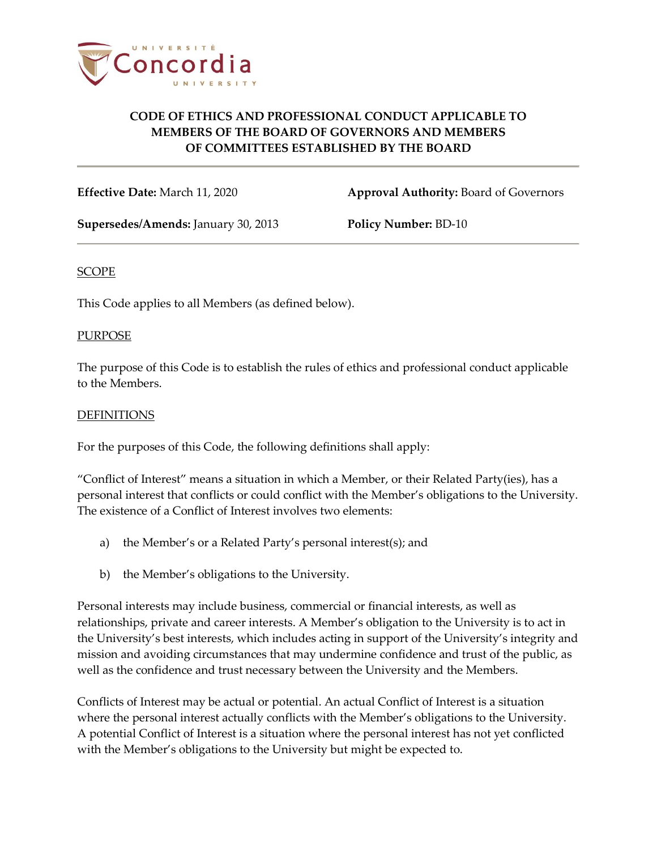

**Effective Date:** March 11, 2020 **Approval Authority:** Board of Governors

**Supersedes/Amends:** January 30, 2013 **Policy Number:** BD-10

### SCOPE

This Code applies to all Members (as defined below).

## **PURPOSE**

The purpose of this Code is to establish the rules of ethics and professional conduct applicable to the Members.

## DEFINITIONS

For the purposes of this Code, the following definitions shall apply:

"Conflict of Interest" means a situation in which a Member, or their Related Party(ies), has a personal interest that conflicts or could conflict with the Member's obligations to the University. The existence of a Conflict of Interest involves two elements:

- a) the Member's or a Related Party's personal interest(s); and
- b) the Member's obligations to the University.

Personal interests may include business, commercial or financial interests, as well as relationships, private and career interests. A Member's obligation to the University is to act in the University's best interests, which includes acting in support of the University's integrity and mission and avoiding circumstances that may undermine confidence and trust of the public, as well as the confidence and trust necessary between the University and the Members.

Conflicts of Interest may be actual or potential. An actual Conflict of Interest is a situation where the personal interest actually conflicts with the Member's obligations to the University. A potential Conflict of Interest is a situation where the personal interest has not yet conflicted with the Member's obligations to the University but might be expected to.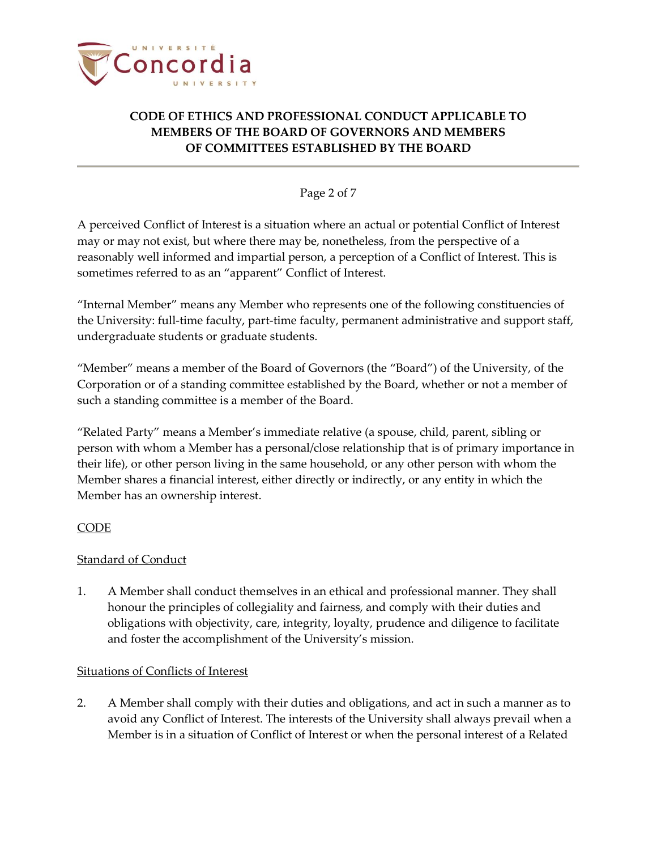

## Page 2 of 7

A perceived Conflict of Interest is a situation where an actual or potential Conflict of Interest may or may not exist, but where there may be, nonetheless, from the perspective of a reasonably well informed and impartial person, a perception of a Conflict of Interest. This is sometimes referred to as an "apparent" Conflict of Interest.

"Internal Member" means any Member who represents one of the following constituencies of the University: full-time faculty, part-time faculty, permanent administrative and support staff, undergraduate students or graduate students.

"Member" means a member of the Board of Governors (the "Board") of the University, of the Corporation or of a standing committee established by the Board, whether or not a member of such a standing committee is a member of the Board.

"Related Party" means a Member's immediate relative (a spouse, child, parent, sibling or person with whom a Member has a personal/close relationship that is of primary importance in their life), or other person living in the same household, or any other person with whom the Member shares a financial interest, either directly or indirectly, or any entity in which the Member has an ownership interest.

## CODE

## Standard of Conduct

1. A Member shall conduct themselves in an ethical and professional manner. They shall honour the principles of collegiality and fairness, and comply with their duties and obligations with objectivity, care, integrity, loyalty, prudence and diligence to facilitate and foster the accomplishment of the University's mission.

### Situations of Conflicts of Interest

2. A Member shall comply with their duties and obligations, and act in such a manner as to avoid any Conflict of Interest. The interests of the University shall always prevail when a Member is in a situation of Conflict of Interest or when the personal interest of a Related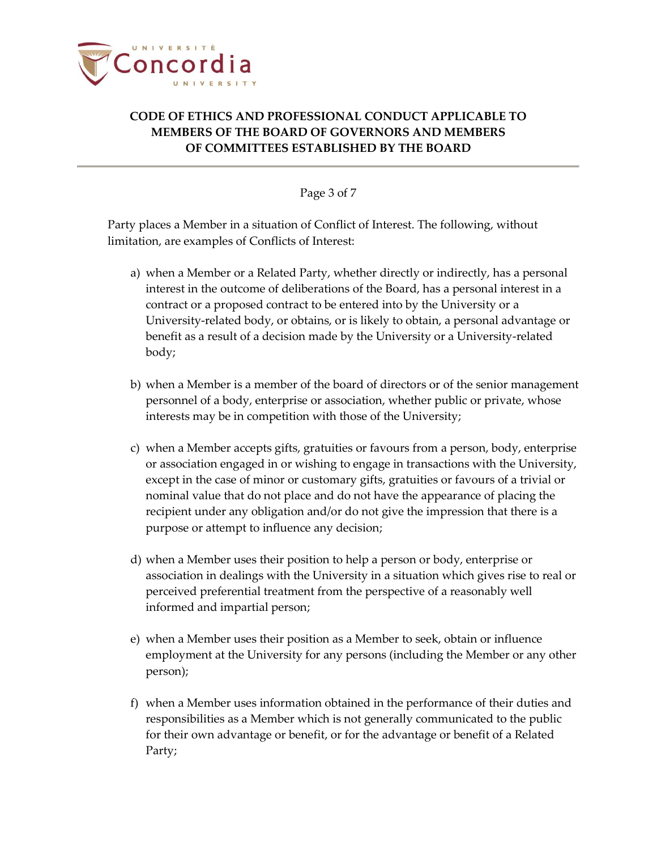

#### Page 3 of 7

Party places a Member in a situation of Conflict of Interest. The following, without limitation, are examples of Conflicts of Interest:

- a) when a Member or a Related Party, whether directly or indirectly, has a personal interest in the outcome of deliberations of the Board, has a personal interest in a contract or a proposed contract to be entered into by the University or a University-related body, or obtains, or is likely to obtain, a personal advantage or benefit as a result of a decision made by the University or a University-related body;
- b) when a Member is a member of the board of directors or of the senior management personnel of a body, enterprise or association, whether public or private, whose interests may be in competition with those of the University;
- c) when a Member accepts gifts, gratuities or favours from a person, body, enterprise or association engaged in or wishing to engage in transactions with the University, except in the case of minor or customary gifts, gratuities or favours of a trivial or nominal value that do not place and do not have the appearance of placing the recipient under any obligation and/or do not give the impression that there is a purpose or attempt to influence any decision;
- d) when a Member uses their position to help a person or body, enterprise or association in dealings with the University in a situation which gives rise to real or perceived preferential treatment from the perspective of a reasonably well informed and impartial person;
- e) when a Member uses their position as a Member to seek, obtain or influence employment at the University for any persons (including the Member or any other person);
- f) when a Member uses information obtained in the performance of their duties and responsibilities as a Member which is not generally communicated to the public for their own advantage or benefit, or for the advantage or benefit of a Related Party;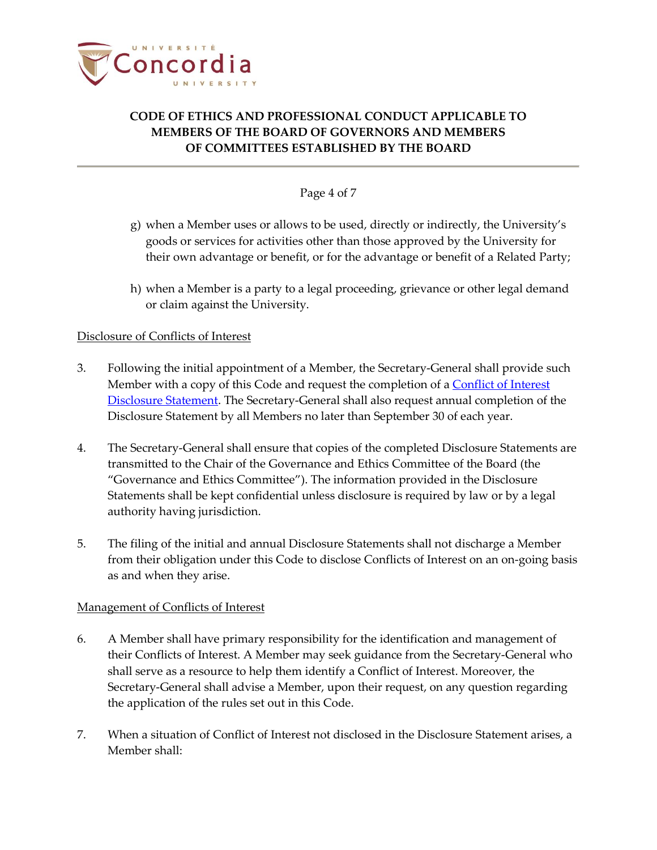

### Page 4 of 7

- g) when a Member uses or allows to be used, directly or indirectly, the University's goods or services for activities other than those approved by the University for their own advantage or benefit, or for the advantage or benefit of a Related Party;
- h) when a Member is a party to a legal proceeding, grievance or other legal demand or claim against the University.

## Disclosure of Conflicts of Interest

- 3. Following the initial appointment of a Member, the Secretary-General shall provide such Member with a copy of this Code and request the completion of a [Conflict of Interest](http://www.concordia.ca/content/dam/common/docs/policies/official-policies/BD-10-Disclosure-Statement.pdf)  [Disclosure Statement.](http://www.concordia.ca/content/dam/common/docs/policies/official-policies/BD-10-Disclosure-Statement.pdf) The Secretary-General shall also request annual completion of the Disclosure Statement by all Members no later than September 30 of each year.
- 4. The Secretary-General shall ensure that copies of the completed Disclosure Statements are transmitted to the Chair of the Governance and Ethics Committee of the Board (the "Governance and Ethics Committee"). The information provided in the Disclosure Statements shall be kept confidential unless disclosure is required by law or by a legal authority having jurisdiction.
- 5. The filing of the initial and annual Disclosure Statements shall not discharge a Member from their obligation under this Code to disclose Conflicts of Interest on an on-going basis as and when they arise.

### Management of Conflicts of Interest

- 6. A Member shall have primary responsibility for the identification and management of their Conflicts of Interest. A Member may seek guidance from the Secretary-General who shall serve as a resource to help them identify a Conflict of Interest. Moreover, the Secretary-General shall advise a Member, upon their request, on any question regarding the application of the rules set out in this Code.
- 7. When a situation of Conflict of Interest not disclosed in the Disclosure Statement arises, a Member shall: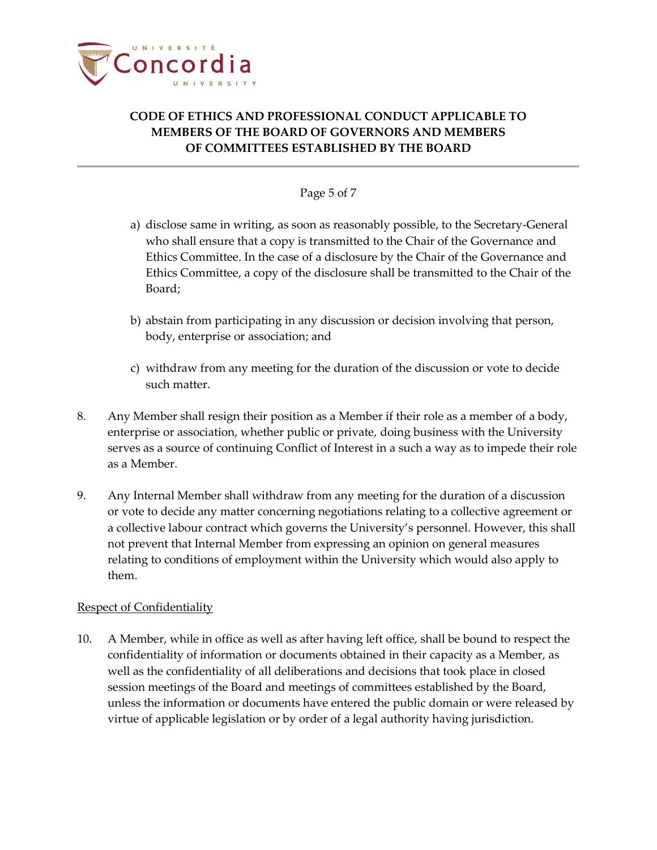

#### Page 5 of 7

- a) disclose same in writing, as soon as reasonably possible, to the Secretary-General who shall ensure that a copy is transmitted to the Chair of the Governance and Ethics Committee. In the case of a disclosure by the Chair of the Governance and Ethics Committee, a copy of the disclosure shall be transmitted to the Chair of the Board;
- b) abstain from participating in any discussion or decision involving that person, body, enterprise or association; and
- c) withdraw from any meeting for the duration of the discussion or vote to decide such matter.
- 8. Any Member shall resign their position as a Member if their role as a member of a body, enterprise or association, whether public or private, doing business with the University serves as a source of continuing Conflict of Interest in a such a way as to impede their role as a Member.
- 9. Any Internal Member shall withdraw from any meeting for the duration of a discussion or vote to decide any matter concerning negotiations relating to a collective agreement or a collective labour contract which governs the University's personnel. However, this shall not prevent that Internal Member from expressing an opinion on general measures relating to conditions of employment within the University which would also apply to them.

### Respect of Confidentiality

10. A Member, while in office as well as after having left office, shall be bound to respect the confidentiality of information or documents obtained in their capacity as a Member, as well as the confidentiality of all deliberations and decisions that took place in closed session meetings of the Board and meetings of committees established by the Board, unless the information or documents have entered the public domain or were released by virtue of applicable legislation or by order of a legal authority having jurisdiction.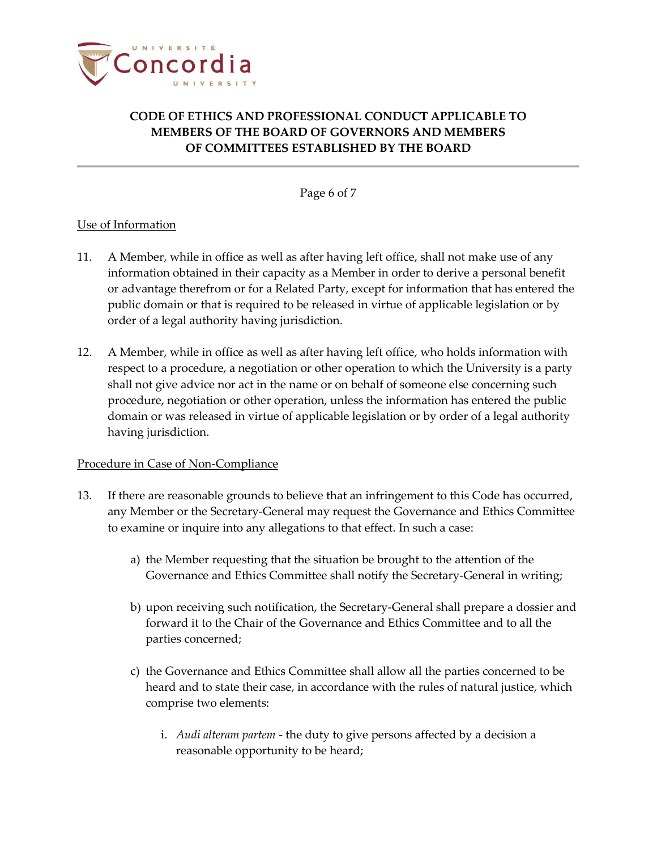

Page 6 of 7

## Use of Information

- 11. A Member, while in office as well as after having left office, shall not make use of any information obtained in their capacity as a Member in order to derive a personal benefit or advantage therefrom or for a Related Party, except for information that has entered the public domain or that is required to be released in virtue of applicable legislation or by order of a legal authority having jurisdiction.
- 12. A Member, while in office as well as after having left office, who holds information with respect to a procedure, a negotiation or other operation to which the University is a party shall not give advice nor act in the name or on behalf of someone else concerning such procedure, negotiation or other operation, unless the information has entered the public domain or was released in virtue of applicable legislation or by order of a legal authority having jurisdiction.

### Procedure in Case of Non-Compliance

- 13. If there are reasonable grounds to believe that an infringement to this Code has occurred, any Member or the Secretary-General may request the Governance and Ethics Committee to examine or inquire into any allegations to that effect. In such a case:
	- a) the Member requesting that the situation be brought to the attention of the Governance and Ethics Committee shall notify the Secretary-General in writing;
	- b) upon receiving such notification, the Secretary-General shall prepare a dossier and forward it to the Chair of the Governance and Ethics Committee and to all the parties concerned;
	- c) the Governance and Ethics Committee shall allow all the parties concerned to be heard and to state their case, in accordance with the rules of natural justice, which comprise two elements:
		- i. *Audi alteram partem* the duty to give persons affected by a decision a reasonable opportunity to be heard;